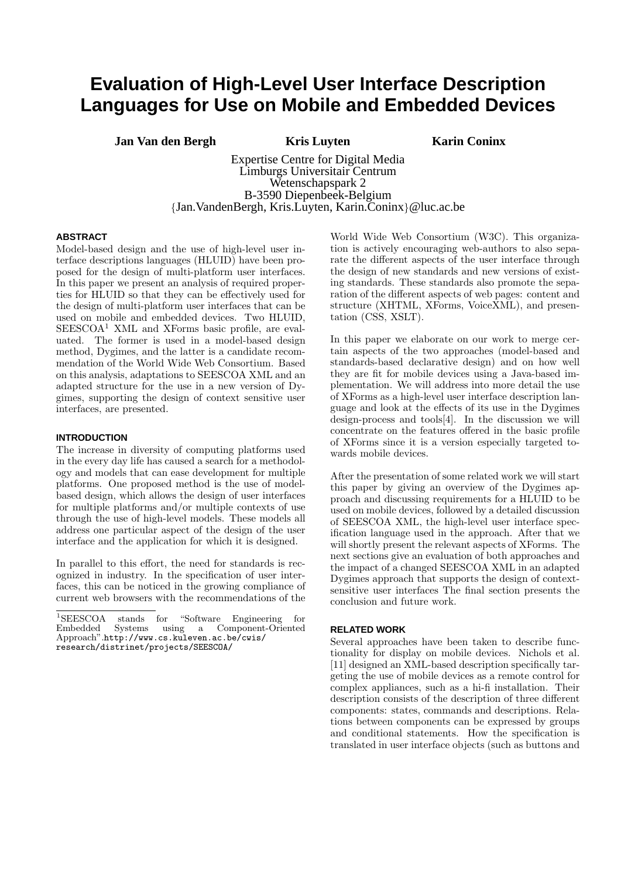# **Evaluation of High-Level User Interface Description Languages for Use on Mobile and Embedded Devices**

**Jan Van den Bergh Kris Luyten Karin Coninx**

Expertise Centre for Digital Media Limburgs Universitair Centrum Wetenschapspark 2 B-3590 Diepenbeek-Belgium {Jan.VandenBergh, Kris.Luyten, Karin.Coninx}@luc.ac.be

#### **ABSTRACT**

Model-based design and the use of high-level user interface descriptions languages (HLUID) have been proposed for the design of multi-platform user interfaces. In this paper we present an analysis of required properties for HLUID so that they can be effectively used for the design of multi-platform user interfaces that can be used on mobile and embedded devices. Two HLUID,  $SEESCOA<sup>1</sup>$  XML and XForms basic profile, are evaluated. The former is used in a model-based design method, Dygimes, and the latter is a candidate recommendation of the World Wide Web Consortium. Based on this analysis, adaptations to SEESCOA XML and an adapted structure for the use in a new version of Dygimes, supporting the design of context sensitive user interfaces, are presented.

#### **INTRODUCTION**

The increase in diversity of computing platforms used in the every day life has caused a search for a methodology and models that can ease development for multiple platforms. One proposed method is the use of modelbased design, which allows the design of user interfaces for multiple platforms and/or multiple contexts of use through the use of high-level models. These models all address one particular aspect of the design of the user interface and the application for which it is designed.

In parallel to this effort, the need for standards is recognized in industry. In the specification of user interfaces, this can be noticed in the growing compliance of current web browsers with the recommendations of the

<sup>1</sup>SEESCOA stands for "Software Engineering for Embedded Systems using a Component-Oriented Approach".http://www.cs.kuleven.ac.be/cwis/ research/distrinet/projects/SEESCOA/

World Wide Web Consortium (W3C). This organization is actively encouraging web-authors to also separate the different aspects of the user interface through the design of new standards and new versions of existing standards. These standards also promote the separation of the different aspects of web pages: content and structure (XHTML, XForms, VoiceXML), and presentation (CSS, XSLT).

In this paper we elaborate on our work to merge certain aspects of the two approaches (model-based and standards-based declarative design) and on how well they are fit for mobile devices using a Java-based implementation. We will address into more detail the use of XForms as a high-level user interface description language and look at the effects of its use in the Dygimes design-process and tools[4]. In the discussion we will concentrate on the features offered in the basic profile of XForms since it is a version especially targeted towards mobile devices.

After the presentation of some related work we will start this paper by giving an overview of the Dygimes approach and discussing requirements for a HLUID to be used on mobile devices, followed by a detailed discussion of SEESCOA XML, the high-level user interface specification language used in the approach. After that we will shortly present the relevant aspects of XForms. The next sections give an evaluation of both approaches and the impact of a changed SEESCOA XML in an adapted Dygimes approach that supports the design of contextsensitive user interfaces The final section presents the conclusion and future work.

#### **RELATED WORK**

Several approaches have been taken to describe functionality for display on mobile devices. Nichols et al. [11] designed an XML-based description specifically targeting the use of mobile devices as a remote control for complex appliances, such as a hi-fi installation. Their description consists of the description of three different components: states, commands and descriptions. Relations between components can be expressed by groups and conditional statements. How the specification is translated in user interface objects (such as buttons and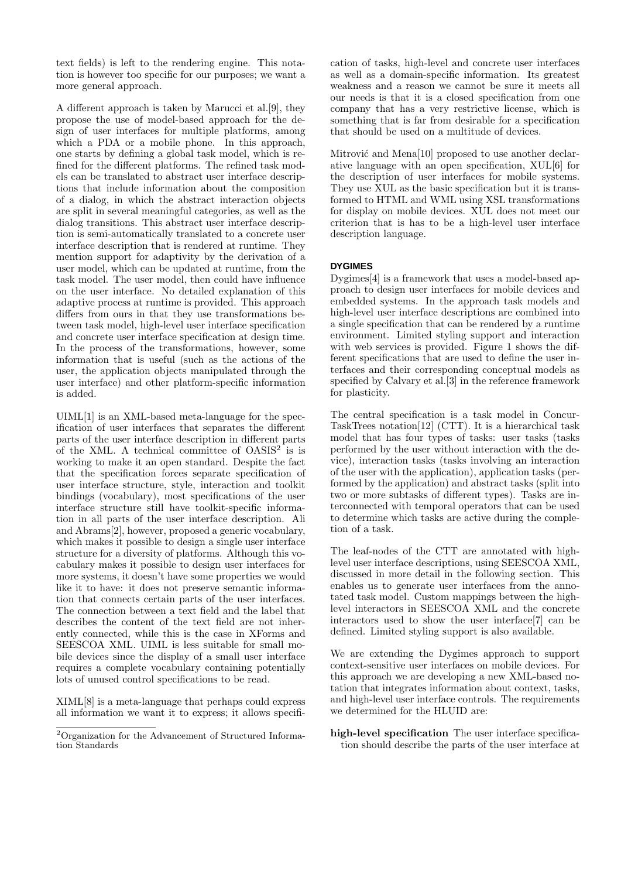text fields) is left to the rendering engine. This notation is however too specific for our purposes; we want a more general approach.

A different approach is taken by Marucci et al.[9], they propose the use of model-based approach for the design of user interfaces for multiple platforms, among which a PDA or a mobile phone. In this approach, one starts by defining a global task model, which is refined for the different platforms. The refined task models can be translated to abstract user interface descriptions that include information about the composition of a dialog, in which the abstract interaction objects are split in several meaningful categories, as well as the dialog transitions. This abstract user interface description is semi-automatically translated to a concrete user interface description that is rendered at runtime. They mention support for adaptivity by the derivation of a user model, which can be updated at runtime, from the task model. The user model, then could have influence on the user interface. No detailed explanation of this adaptive process at runtime is provided. This approach differs from ours in that they use transformations between task model, high-level user interface specification and concrete user interface specification at design time. In the process of the transformations, however, some information that is useful (such as the actions of the user, the application objects manipulated through the user interface) and other platform-specific information is added.

UIML[1] is an XML-based meta-language for the specification of user interfaces that separates the different parts of the user interface description in different parts of the XML. A technical committee of  $OASIS<sup>2</sup>$  is is working to make it an open standard. Despite the fact that the specification forces separate specification of user interface structure, style, interaction and toolkit bindings (vocabulary), most specifications of the user interface structure still have toolkit-specific information in all parts of the user interface description. Ali and Abrams[2], however, proposed a generic vocabulary, which makes it possible to design a single user interface structure for a diversity of platforms. Although this vocabulary makes it possible to design user interfaces for more systems, it doesn't have some properties we would like it to have: it does not preserve semantic information that connects certain parts of the user interfaces. The connection between a text field and the label that describes the content of the text field are not inherently connected, while this is the case in XForms and SEESCOA XML. UIML is less suitable for small mobile devices since the display of a small user interface requires a complete vocabulary containing potentially lots of unused control specifications to be read.

XIML[8] is a meta-language that perhaps could express all information we want it to express; it allows specification of tasks, high-level and concrete user interfaces as well as a domain-specific information. Its greatest weakness and a reason we cannot be sure it meets all our needs is that it is a closed specification from one company that has a very restrictive license, which is something that is far from desirable for a specification that should be used on a multitude of devices.

Mitrović and Mena[10] proposed to use another declarative language with an open specification, XUL[6] for the description of user interfaces for mobile systems. They use XUL as the basic specification but it is transformed to HTML and WML using XSL transformations for display on mobile devices. XUL does not meet our criterion that is has to be a high-level user interface description language.

# **DYGIMES**

Dygimes[4] is a framework that uses a model-based approach to design user interfaces for mobile devices and embedded systems. In the approach task models and high-level user interface descriptions are combined into a single specification that can be rendered by a runtime environment. Limited styling support and interaction with web services is provided. Figure 1 shows the different specifications that are used to define the user interfaces and their corresponding conceptual models as specified by Calvary et al.[3] in the reference framework for plasticity.

The central specification is a task model in Concur-TaskTrees notation[12] (CTT). It is a hierarchical task model that has four types of tasks: user tasks (tasks performed by the user without interaction with the device), interaction tasks (tasks involving an interaction of the user with the application), application tasks (performed by the application) and abstract tasks (split into two or more subtasks of different types). Tasks are interconnected with temporal operators that can be used to determine which tasks are active during the completion of a task.

The leaf-nodes of the CTT are annotated with highlevel user interface descriptions, using SEESCOA XML, discussed in more detail in the following section. This enables us to generate user interfaces from the annotated task model. Custom mappings between the highlevel interactors in SEESCOA XML and the concrete interactors used to show the user interface[7] can be defined. Limited styling support is also available.

We are extending the Dygimes approach to support context-sensitive user interfaces on mobile devices. For this approach we are developing a new XML-based notation that integrates information about context, tasks, and high-level user interface controls. The requirements we determined for the HLUID are:

high-level specification The user interface specification should describe the parts of the user interface at

<sup>2</sup>Organization for the Advancement of Structured Information Standards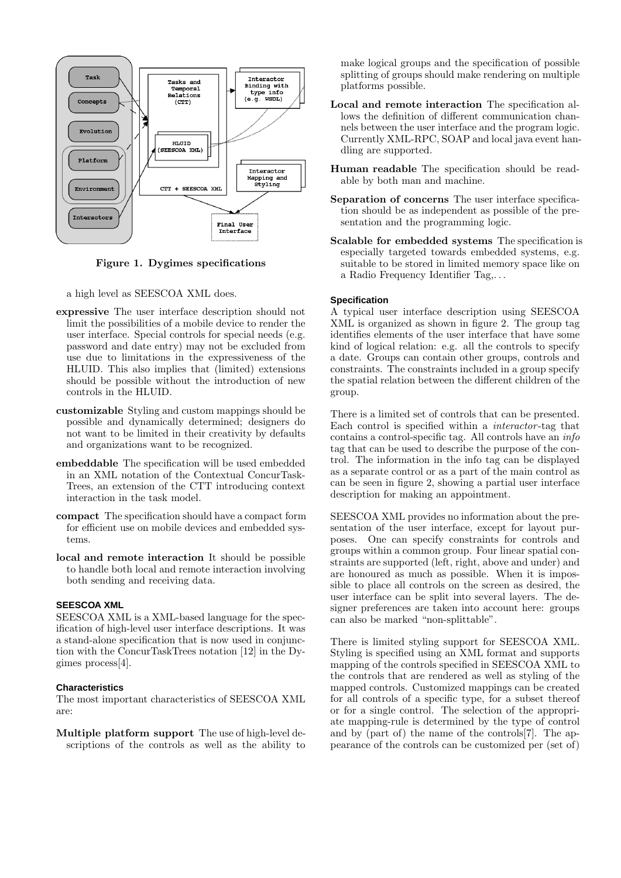

Figure 1. Dygimes specifications

a high level as SEESCOA XML does.

- expressive The user interface description should not limit the possibilities of a mobile device to render the user interface. Special controls for special needs (e.g. password and date entry) may not be excluded from use due to limitations in the expressiveness of the HLUID. This also implies that (limited) extensions should be possible without the introduction of new controls in the HLUID.
- customizable Styling and custom mappings should be possible and dynamically determined; designers do not want to be limited in their creativity by defaults and organizations want to be recognized.
- embeddable The specification will be used embedded in an XML notation of the Contextual ConcurTask-Trees, an extension of the CTT introducing context interaction in the task model.
- compact The specification should have a compact form for efficient use on mobile devices and embedded systems.
- local and remote interaction It should be possible to handle both local and remote interaction involving both sending and receiving data.

# **SEESCOA XML**

SEESCOA XML is a XML-based language for the specification of high-level user interface descriptions. It was a stand-alone specification that is now used in conjunction with the ConcurTaskTrees notation [12] in the Dygimes process[4].

#### **Characteristics**

The most important characteristics of SEESCOA XML are:

Multiple platform support The use of high-level descriptions of the controls as well as the ability to make logical groups and the specification of possible splitting of groups should make rendering on multiple platforms possible.

- Local and remote interaction The specification allows the definition of different communication channels between the user interface and the program logic. Currently XML-RPC, SOAP and local java event handling are supported.
- Human readable The specification should be readable by both man and machine.
- Separation of concerns The user interface specification should be as independent as possible of the presentation and the programming logic.
- Scalable for embedded systems The specification is especially targeted towards embedded systems, e.g. suitable to be stored in limited memory space like on a Radio Frequency Identifier Tag,. . .

# **Specification**

A typical user interface description using SEESCOA XML is organized as shown in figure 2. The group tag identifies elements of the user interface that have some kind of logical relation: e.g. all the controls to specify a date. Groups can contain other groups, controls and constraints. The constraints included in a group specify the spatial relation between the different children of the group.

There is a limited set of controls that can be presented. Each control is specified within a interactor -tag that contains a control-specific tag. All controls have an  $info$ tag that can be used to describe the purpose of the control. The information in the info tag can be displayed as a separate control or as a part of the main control as can be seen in figure 2, showing a partial user interface description for making an appointment.

SEESCOA XML provides no information about the presentation of the user interface, except for layout purposes. One can specify constraints for controls and groups within a common group. Four linear spatial constraints are supported (left, right, above and under) and are honoured as much as possible. When it is impossible to place all controls on the screen as desired, the user interface can be split into several layers. The designer preferences are taken into account here: groups can also be marked "non-splittable".

There is limited styling support for SEESCOA XML. Styling is specified using an XML format and supports mapping of the controls specified in SEESCOA XML to the controls that are rendered as well as styling of the mapped controls. Customized mappings can be created for all controls of a specific type, for a subset thereof or for a single control. The selection of the appropriate mapping-rule is determined by the type of control and by (part of) the name of the controls[7]. The appearance of the controls can be customized per (set of)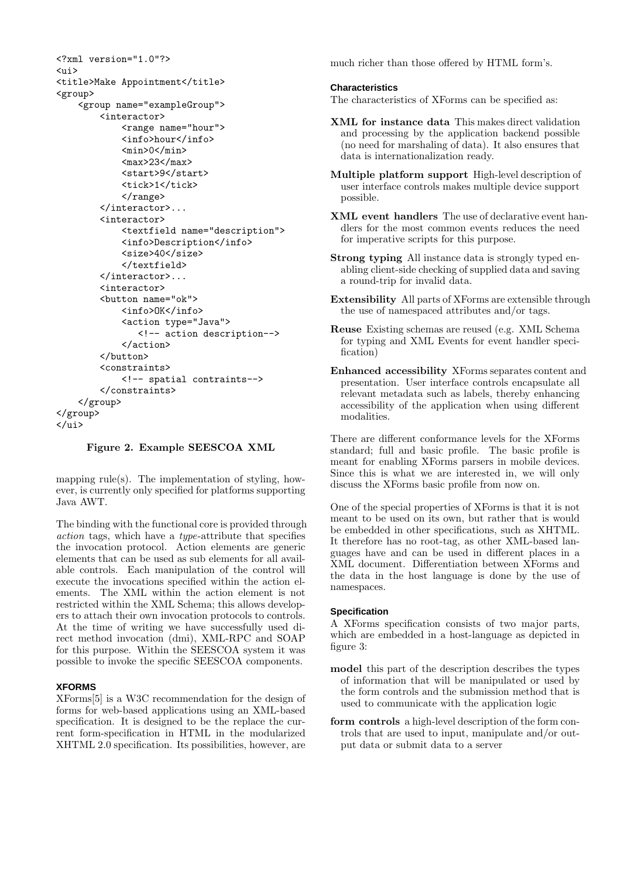```
<?xml version="1.0"?>
\langleui>
<title>Make Appointment</title>
<group>
    <group name="exampleGroup">
        <interactor>
             <range name="hour">
             <info>hour</info>
             <sub>min</sub>>0<<sub>min</sub></sub>
             <max>23</max>
             <start>9</start>
             <tick>1</tick>
             </range>
        </interactor>...
         <interactor>
             <textfield name="description">
             <info>Description</info>
             <size>40</size>
             </textfield>
        </interactor>...
        <interactor>
        <button name="ok">
             <info>OK</info>
             <action type="Java">
                <!-- action description-->
             </action>
        </button>
         <constraints>
             <!-- spatial contraints-->
        </constraints>
    </group>
</group>
</ui>
```
#### Figure 2. Example SEESCOA XML

mapping rule(s). The implementation of styling, however, is currently only specified for platforms supporting Java AWT.

The binding with the functional core is provided through action tags, which have a type-attribute that specifies the invocation protocol. Action elements are generic elements that can be used as sub elements for all available controls. Each manipulation of the control will execute the invocations specified within the action elements. The XML within the action element is not restricted within the XML Schema; this allows developers to attach their own invocation protocols to controls. At the time of writing we have successfully used direct method invocation (dmi), XML-RPC and SOAP for this purpose. Within the SEESCOA system it was possible to invoke the specific SEESCOA components.

#### **XFORMS**

XForms[5] is a W3C recommendation for the design of forms for web-based applications using an XML-based specification. It is designed to be the replace the current form-specification in HTML in the modularized XHTML 2.0 specification. Its possibilities, however, are much richer than those offered by HTML form's.

#### **Characteristics**

The characteristics of XForms can be specified as:

- XML for instance data This makes direct validation and processing by the application backend possible (no need for marshaling of data). It also ensures that data is internationalization ready.
- Multiple platform support High-level description of user interface controls makes multiple device support possible.
- XML event handlers The use of declarative event handlers for the most common events reduces the need for imperative scripts for this purpose.
- Strong typing All instance data is strongly typed enabling client-side checking of supplied data and saving a round-trip for invalid data.
- Extensibility All parts of XForms are extensible through the use of namespaced attributes and/or tags.
- Reuse Existing schemas are reused (e.g. XML Schema for typing and XML Events for event handler specification)
- Enhanced accessibility XForms separates content and presentation. User interface controls encapsulate all relevant metadata such as labels, thereby enhancing accessibility of the application when using different modalities.

There are different conformance levels for the XForms standard; full and basic profile. The basic profile is meant for enabling XForms parsers in mobile devices. Since this is what we are interested in, we will only discuss the XForms basic profile from now on.

One of the special properties of XForms is that it is not meant to be used on its own, but rather that is would be embedded in other specifications, such as XHTML. It therefore has no root-tag, as other XML-based languages have and can be used in different places in a XML document. Differentiation between XForms and the data in the host language is done by the use of namespaces.

#### **Specification**

A XForms specification consists of two major parts, which are embedded in a host-language as depicted in figure 3:

- model this part of the description describes the types of information that will be manipulated or used by the form controls and the submission method that is used to communicate with the application logic
- form controls a high-level description of the form controls that are used to input, manipulate and/or output data or submit data to a server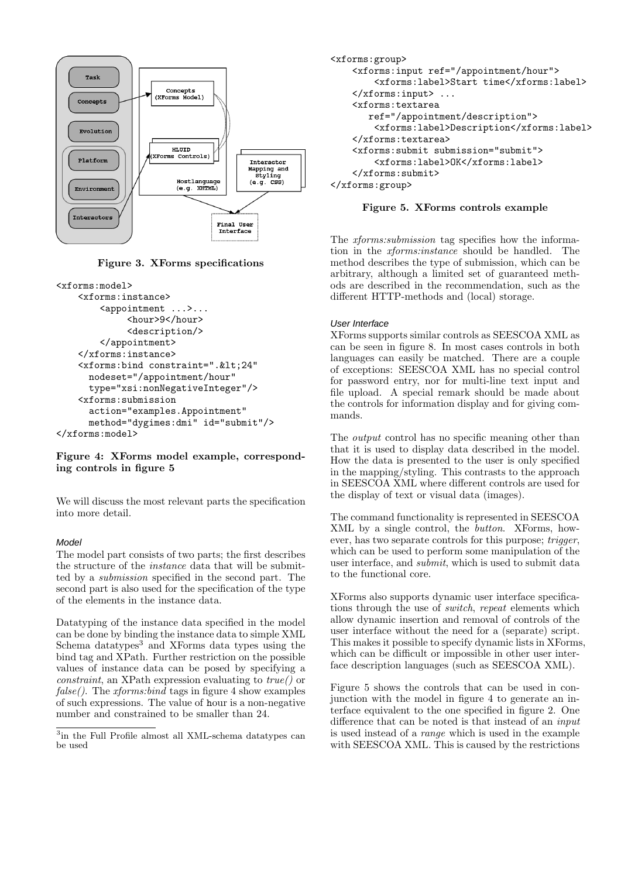

Figure 3. XForms specifications

```
<xforms:model>
    <xforms:instance>
        <appointment ...>...
             <hour>9</hour>
             <description/>
        </appointment>
    </xforms:instance>
    <xforms:bind constraint=".&lt;24"
      nodeset="/appointment/hour"
      type="xsi:nonNegativeInteger"/>
    <xforms:submission
      action="examples.Appointment"
      method="dygimes:dmi" id="submit"/>
</xforms:model>
```
# Figure 4: XForms model example, corresponding controls in figure 5

We will discuss the most relevant parts the specification into more detail.

# Model

The model part consists of two parts; the first describes the structure of the instance data that will be submitted by a submission specified in the second part. The second part is also used for the specification of the type of the elements in the instance data.

Datatyping of the instance data specified in the model can be done by binding the instance data to simple XML Schema datatypes $3$  and XForms data types using the bind tag and XPath. Further restriction on the possible values of instance data can be posed by specifying a *constraint*, an XPath expression evaluating to  $true()$  or  $false()$ . The *xforms:bind* tags in figure 4 show examples of such expressions. The value of hour is a non-negative number and constrained to be smaller than 24.

```
<xforms:group>
    <xforms:input ref="/appointment/hour">
        <xforms:label>Start time</xforms:label>
    </xforms:input> ...
    <xforms:textarea
       ref="/appointment/description">
        <xforms:label>Description</xforms:label>
    </xforms:textarea>
    <xforms:submit submission="submit">
        <xforms:label>OK</xforms:label>
    </xforms:submit>
</xforms:group>
```
# Figure 5. XForms controls example

The xforms:submission tag specifies how the information in the xforms:instance should be handled. The method describes the type of submission, which can be arbitrary, although a limited set of guaranteed methods are described in the recommendation, such as the different HTTP-methods and (local) storage.

# User Interface

XForms supports similar controls as SEESCOA XML as can be seen in figure 8. In most cases controls in both languages can easily be matched. There are a couple of exceptions: SEESCOA XML has no special control for password entry, nor for multi-line text input and file upload. A special remark should be made about the controls for information display and for giving commands.

The output control has no specific meaning other than that it is used to display data described in the model. How the data is presented to the user is only specified in the mapping/styling. This contrasts to the approach in SEESCOA XML where different controls are used for the display of text or visual data (images).

The command functionality is represented in SEESCOA XML by a single control, the button. XForms, however, has two separate controls for this purpose; trigger, which can be used to perform some manipulation of the user interface, and submit, which is used to submit data to the functional core.

XForms also supports dynamic user interface specifications through the use of switch, repeat elements which allow dynamic insertion and removal of controls of the user interface without the need for a (separate) script. This makes it possible to specify dynamic lists in XForms, which can be difficult or impossible in other user interface description languages (such as SEESCOA XML).

Figure 5 shows the controls that can be used in conjunction with the model in figure 4 to generate an interface equivalent to the one specified in figure 2. One difference that can be noted is that instead of an input is used instead of a range which is used in the example with SEESCOA XML. This is caused by the restrictions

<sup>&</sup>lt;sup>3</sup>in the Full Profile almost all XML-schema datatypes can be used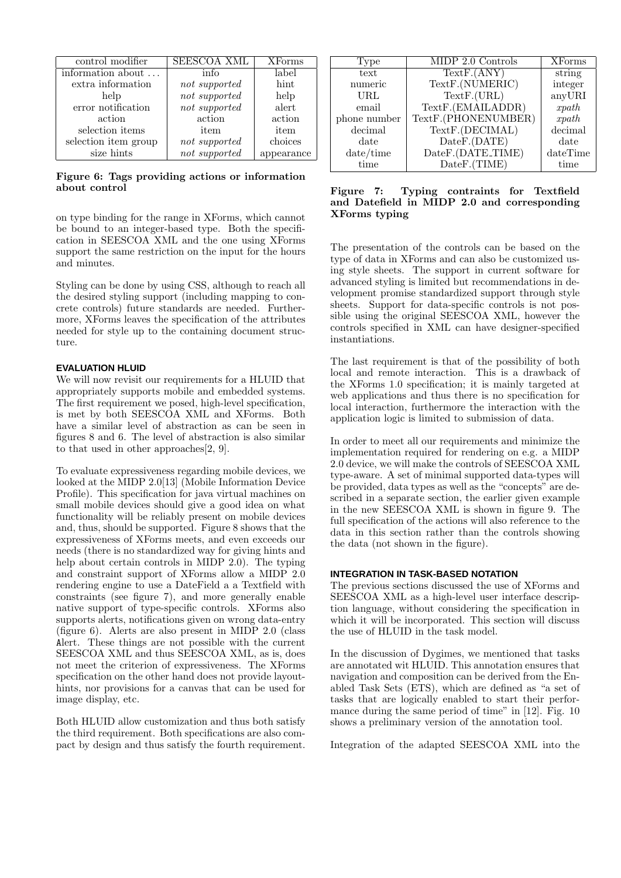| control modifier     | <b>SEESCOA XML</b> | <b>XForms</b> |
|----------------------|--------------------|---------------|
| information about    | info               | label         |
| extra information    | not supported      | hint          |
| help                 | not supported      | help          |
| error notification   | not supported      | alert         |
| action               | action             | action        |
| selection items      | item               | item          |
| selection item group | not supported      | choices       |
| size hints           | not supported      | appearance    |
|                      |                    |               |

Figure 6: Tags providing actions or information about control

on type binding for the range in XForms, which cannot be bound to an integer-based type. Both the specification in SEESCOA XML and the one using XForms support the same restriction on the input for the hours and minutes.

Styling can be done by using CSS, although to reach all the desired styling support (including mapping to concrete controls) future standards are needed. Furthermore, XForms leaves the specification of the attributes needed for style up to the containing document structure.

# **EVALUATION HLUID**

We will now revisit our requirements for a HLUID that appropriately supports mobile and embedded systems. The first requirement we posed, high-level specification, is met by both SEESCOA XML and XForms. Both have a similar level of abstraction as can be seen in figures 8 and 6. The level of abstraction is also similar to that used in other approaches[2, 9].

To evaluate expressiveness regarding mobile devices, we looked at the MIDP 2.0[13] (Mobile Information Device Profile). This specification for java virtual machines on small mobile devices should give a good idea on what functionality will be reliably present on mobile devices and, thus, should be supported. Figure 8 shows that the expressiveness of XForms meets, and even exceeds our needs (there is no standardized way for giving hints and help about certain controls in MIDP 2.0). The typing and constraint support of XForms allow a MIDP 2.0 rendering engine to use a DateField a a Textfield with constraints (see figure 7), and more generally enable native support of type-specific controls. XForms also supports alerts, notifications given on wrong data-entry (figure 6). Alerts are also present in MIDP 2.0 (class Alert. These things are not possible with the current SEESCOA XML and thus SEESCOA XML, as is, does not meet the criterion of expressiveness. The XForms specification on the other hand does not provide layouthints, nor provisions for a canvas that can be used for image display, etc.

Both HLUID allow customization and thus both satisfy the third requirement. Both specifications are also compact by design and thus satisfy the fourth requirement.

| 'Type        | MIDP 2.0 Controls   | <b>XForms</b> |
|--------------|---------------------|---------------|
| text         | TextF.(ANY)         | string        |
| numeric      | TextF.(NUMERIC)     | integer       |
| URL          | TextF.(URL)         | anyURI        |
| email        | TextF.(EMAILADDR)   | x path        |
| phone number | TextF.(PHONENUMBER) | x path        |
| decimal      | TextF.(DECIMAL)     | decimal       |
| date         | DateF.(DATE)        | date          |
| date/time    | DateF.(DATE_TIME)   | dateTime      |
| time         | DateF.(TIME)        | time          |

Figure 7: Typing contraints for Textfield and Datefield in MIDP 2.0 and corresponding XForms typing

The presentation of the controls can be based on the type of data in XForms and can also be customized using style sheets. The support in current software for advanced styling is limited but recommendations in development promise standardized support through style sheets. Support for data-specific controls is not possible using the original SEESCOA XML, however the controls specified in XML can have designer-specified instantiations.

The last requirement is that of the possibility of both local and remote interaction. This is a drawback of the XForms 1.0 specification; it is mainly targeted at web applications and thus there is no specification for local interaction, furthermore the interaction with the application logic is limited to submission of data.

In order to meet all our requirements and minimize the implementation required for rendering on e.g. a MIDP 2.0 device, we will make the controls of SEESCOA XML type-aware. A set of minimal supported data-types will be provided, data types as well as the "concepts" are described in a separate section, the earlier given example in the new SEESCOA XML is shown in figure 9. The full specification of the actions will also reference to the data in this section rather than the controls showing the data (not shown in the figure).

#### **INTEGRATION IN TASK-BASED NOTATION**

The previous sections discussed the use of XForms and SEESCOA XML as a high-level user interface description language, without considering the specification in which it will be incorporated. This section will discuss the use of HLUID in the task model.

In the discussion of Dygimes, we mentioned that tasks are annotated wit HLUID. This annotation ensures that navigation and composition can be derived from the Enabled Task Sets (ETS), which are defined as "a set of tasks that are logically enabled to start their performance during the same period of time" in [12]. Fig. 10 shows a preliminary version of the annotation tool.

Integration of the adapted SEESCOA XML into the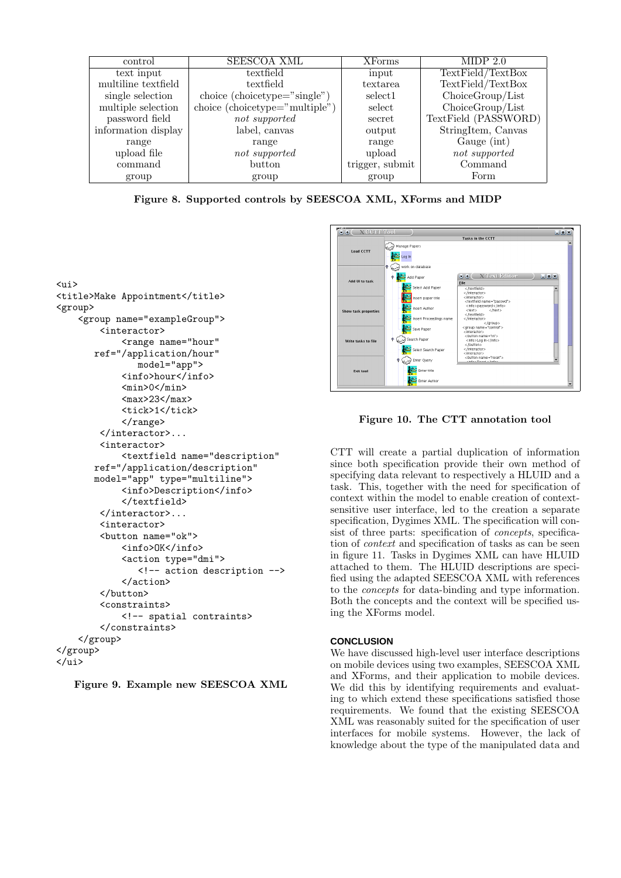| control             | <b>SEESCOA XML</b>             | <b>XForms</b>   | MIDP 2.0             |
|---------------------|--------------------------------|-----------------|----------------------|
| text input          | textfield                      | input           | TextField/TextBox    |
| multiline textfield | textfield                      | textarea        | TextField/TextBox    |
| single selection    | choice (choice type="single")  | select1         | ChoiceGroup/List     |
| multiple selection  | choice (choicetype="multiple") | select          | ChoiceGroup/List     |
| password field      | not supported                  | secret          | TextField (PASSWORD) |
| information display | label, canvas                  | output          | StringItem, Canvas   |
| range               | range                          | range           | Gauge (int)          |
| upload file         | not supported                  | upload          | not supported        |
| command             | button                         | trigger, submit | Command              |
| group               | group                          | group           | Form                 |

Figure 8. Supported controls by SEESCOA XML, XForms and MIDP

```
\langleui>
<title>Make Appointment</title>
<group>
    <group name="exampleGroup">
         <interactor>
              <range name="hour"
        ref="/application/hour"
                 model="app">
              <info>hour</info>
              <sub>min</sub>>0<<sub>min</sub></sub>
              <sub>max</sub>>23</sub>/max></sub>
              <tick>1</tick>
              </range>
         </interactor>...
         <interactor>
              <textfield name="description"
        ref="/application/description"
        model="app" type="multiline">
              <info>Description</info>
              </textfield>
         </interactor>...
         <interactor>
         <button name="ok">
              <info>OK</info>
              <action type="dmi">
                 <!-- action description -->
              </action>
         </button>
         <constraints>
              <!-- spatial contraints>
         </constraints>
    </group>
</group>
\langle \overline{u}i>
```




Figure 10. The CTT annotation tool

CTT will create a partial duplication of information since both specification provide their own method of specifying data relevant to respectively a HLUID and a task. This, together with the need for specification of context within the model to enable creation of contextsensitive user interface, led to the creation a separate specification, Dygimes XML. The specification will consist of three parts: specification of *concepts*, specification of context and specification of tasks as can be seen in figure 11. Tasks in Dygimes XML can have HLUID attached to them. The HLUID descriptions are specified using the adapted SEESCOA XML with references to the concepts for data-binding and type information. Both the concepts and the context will be specified using the XForms model.

#### **CONCLUSION**

We have discussed high-level user interface descriptions on mobile devices using two examples, SEESCOA XML and XForms, and their application to mobile devices. We did this by identifying requirements and evaluating to which extend these specifications satisfied those requirements. We found that the existing SEESCOA XML was reasonably suited for the specification of user interfaces for mobile systems. However, the lack of knowledge about the type of the manipulated data and